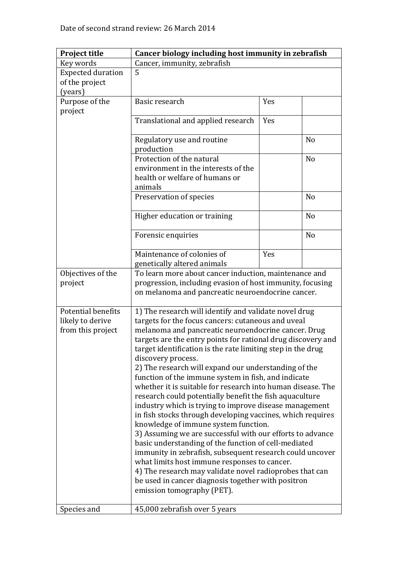| <b>Project title</b>      | Cancer biology including host immunity in zebrafish          |     |                |
|---------------------------|--------------------------------------------------------------|-----|----------------|
| Key words                 | Cancer, immunity, zebrafish                                  |     |                |
| <b>Expected duration</b>  | 5                                                            |     |                |
| of the project            |                                                              |     |                |
| (years)                   |                                                              |     |                |
| Purpose of the            | Basic research                                               | Yes |                |
| project                   |                                                              |     |                |
|                           | Translational and applied research                           | Yes |                |
|                           |                                                              |     |                |
|                           | Regulatory use and routine                                   |     | N <sub>o</sub> |
|                           | production                                                   |     |                |
|                           | Protection of the natural                                    |     | N <sub>o</sub> |
|                           | environment in the interests of the                          |     |                |
|                           | health or welfare of humans or                               |     |                |
|                           | animals                                                      |     |                |
|                           | Preservation of species                                      |     | N <sub>o</sub> |
|                           |                                                              |     |                |
|                           | Higher education or training                                 |     | N <sub>0</sub> |
|                           |                                                              |     |                |
|                           | Forensic enquiries                                           |     | N <sub>o</sub> |
|                           |                                                              |     |                |
|                           | Maintenance of colonies of                                   | Yes |                |
|                           | genetically altered animals                                  |     |                |
| Objectives of the         | To learn more about cancer induction, maintenance and        |     |                |
| project                   | progression, including evasion of host immunity, focusing    |     |                |
|                           | on melanoma and pancreatic neuroendocrine cancer.            |     |                |
|                           |                                                              |     |                |
| <b>Potential benefits</b> | 1) The research will identify and validate novel drug        |     |                |
| likely to derive          | targets for the focus cancers: cutaneous and uveal           |     |                |
| from this project         | melanoma and pancreatic neuroendocrine cancer. Drug          |     |                |
|                           | targets are the entry points for rational drug discovery and |     |                |
|                           | target identification is the rate limiting step in the drug  |     |                |
|                           | discovery process.                                           |     |                |
|                           | 2) The research will expand our understanding of the         |     |                |
|                           | function of the immune system in fish, and indicate          |     |                |
|                           | whether it is suitable for research into human disease. The  |     |                |
|                           | research could potentially benefit the fish aquaculture      |     |                |
|                           | industry which is trying to improve disease management       |     |                |
|                           | in fish stocks through developing vaccines, which requires   |     |                |
|                           | knowledge of immune system function.                         |     |                |
|                           | 3) Assuming we are successful with our efforts to advance    |     |                |
|                           | basic understanding of the function of cell-mediated         |     |                |
|                           | immunity in zebrafish, subsequent research could uncover     |     |                |
|                           | what limits host immune responses to cancer.                 |     |                |
|                           | 4) The research may validate novel radioprobes that can      |     |                |
|                           | be used in cancer diagnosis together with positron           |     |                |
|                           | emission tomography (PET).                                   |     |                |
|                           |                                                              |     |                |
| Species and               | 45,000 zebrafish over 5 years                                |     |                |